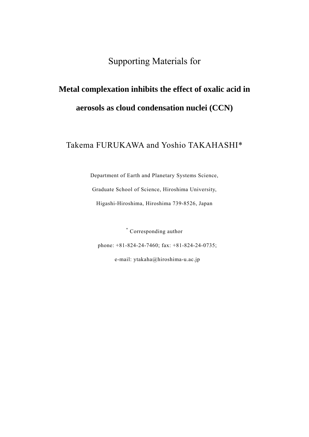Supporting Materials for

## **Metal complexation inhibits the effect of oxalic acid in aerosols as cloud condensation nuclei (CCN)**

Takema FURUKAWA and Yoshio TAKAHASHI\*

Department of Earth and Planetary Systems Science, Graduate School of Science, Hiroshima University, Higashi-Hiroshima, Hiroshima 739-8526, Japan

\* Corresponding author

phone: +81-824-24-7460; fax: +81-824-24-0735;

e-mail: ytakaha@hiroshima-u.ac.jp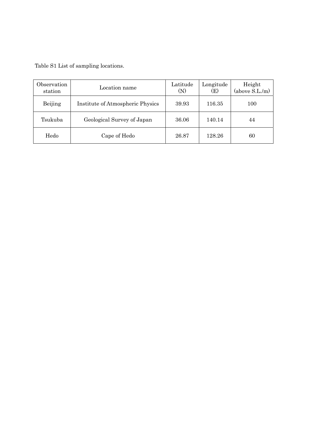Table S1 List of sampling locations.

| Observation<br>station | Location name                    | Latitude<br>(N) | Longitude<br>(E) | Height<br>(above S.L./m) |
|------------------------|----------------------------------|-----------------|------------------|--------------------------|
| Beijing                | Institute of Atmospheric Physics | 39.93           | 116.35           | 100                      |
| Tsukuba                | Geological Survey of Japan       | 36.06           | 140.14           | 44                       |
| Hedo                   | Cape of Hedo                     | 26.87           | 128.26           | 60                       |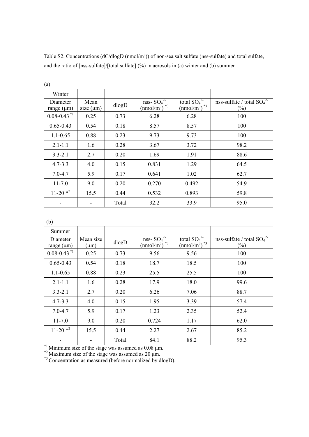| (a)                         |                        |       |                                                      |                                                          |                                        |
|-----------------------------|------------------------|-------|------------------------------------------------------|----------------------------------------------------------|----------------------------------------|
| Winter                      |                        |       |                                                      |                                                          |                                        |
| Diameter<br>range $(\mu m)$ | Mean<br>size $(\mu m)$ | dlogD | nss- $SO_4^2$<br>$\left(\text{nmol/m}^3\right)^{*3}$ | total $SO_4^{2-}$<br>$\left(\text{nmol/m}^3\right)^{*3}$ | nss-sulfate / total $SO_4^2$<br>$(\%)$ |
| $0.08 - 0.43$ <sup>*1</sup> | 0.25                   | 0.73  | 6.28                                                 | 6.28                                                     | 100                                    |
| $0.65 - 0.43$               | 0.54                   | 0.18  | 8.57                                                 | 8.57                                                     | 100                                    |
| $1.1 - 0.65$                | 0.88                   | 0.23  | 9.73                                                 | 9.73                                                     | 100                                    |
| $2.1 - 1.1$                 | 1.6                    | 0.28  | 3.67                                                 | 3.72                                                     | 98.2                                   |
| $3.3 - 2.1$                 | 2.7                    | 0.20  | 1.69                                                 | 1.91                                                     | 88.6                                   |
| $4.7 - 3.3$                 | 4.0                    | 0.15  | 0.831                                                | 1.29                                                     | 64.5                                   |
| $7.0 - 4.7$                 | 5.9                    | 0.17  | 0.641                                                | 1.02                                                     | 62.7                                   |
| $11 - 7.0$                  | 9.0                    | 0.20  | 0.270                                                | 0.492                                                    | 54.9                                   |
| $11-20$ * <sup>2</sup>      | 15.5                   | 0.44  | 0.532                                                | 0.893                                                    | 59.8                                   |
|                             |                        | Total | 32.2                                                 | 33.9                                                     | 95.0                                   |

Table S2. Concentrations ( $dC/dlogD$  (nmol/m<sup>3</sup>)) of non-sea salt sulfate (nss-sulfate) and total sulfate, and the ratio of [nss-sulfate]/[total sulfate] (%) in aerosols in (a) winter and (b) summer.

(b)

| Summer                      |                        |       |                                                 |                                               |                                        |
|-----------------------------|------------------------|-------|-------------------------------------------------|-----------------------------------------------|----------------------------------------|
| Diameter<br>range $(\mu m)$ | Mean size<br>$(\mu m)$ | dlogD | nss- $SO_4^2$<br>$*3$<br>(nmol/m <sup>3</sup> ) | total $SO_4^2$<br>$(nmol/m^3)^*$ <sup>3</sup> | nss-sulfate / total $SO_4^2$<br>$(\%)$ |
| $0.08 - 0.43$ <sup>*1</sup> | 0.25                   | 0.73  | 9.56                                            | 9.56                                          | 100                                    |
| $0.65 - 0.43$               | 0.54                   | 0.18  | 18.7                                            | 18.5                                          | 100                                    |
| $1.1 - 0.65$                | 0.88                   | 0.23  | 25.5                                            | 25.5                                          | 100                                    |
| $2.1 - 1.1$                 | 1.6                    | 0.28  | 17.9                                            | 18.0                                          | 99.6                                   |
| $3.3 - 2.1$                 | 2.7                    | 0.20  | 6.26                                            | 7.06                                          | 88.7                                   |
| $4.7 - 3.3$                 | 4.0                    | 0.15  | 1.95                                            | 3.39                                          | 57.4                                   |
| $7.0 - 4.7$                 | 5.9                    | 0.17  | 1.23                                            | 2.35                                          | 52.4                                   |
| $11 - 7.0$                  | 9.0                    | 0.20  | 0.724                                           | 1.17                                          | 62.0                                   |
| $11-20$ * <sup>2</sup>      | 15.5                   | 0.44  | 2.27                                            | 2.67                                          | 85.2                                   |
|                             |                        | Total | 84.1                                            | 88.2                                          | 95.3                                   |

 $*$ <sup>1</sup> Minimum size of the stage was assumed as 0.08  $\mu$ m.

 $*$ <sup>2</sup> Maximum size of the stage was assumed as 20  $\mu$ m.

\*<sup>3</sup> Concentration as measured (before normalized by dlogD).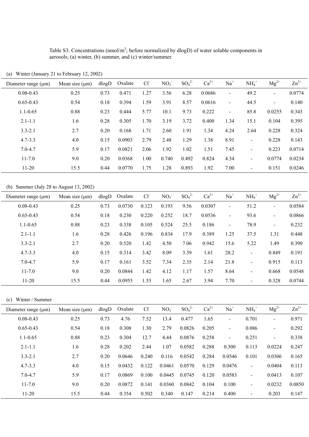Table S3. Concentrations (nmol/m<sup>3</sup>; before normalized by dlogD) of water soluble components in aerosols; (a) winter, (b) summer, and (c) winter/summer.

| Diameter range $(\mu m)$ | Mean size $(\mu m)$ | dlogD | Oxalate | $Cl^2$ | NO <sub>3</sub> | $SO_4^2$ | $Ca^{2+}$ | $Na+$                    | $NH_4$ <sup>+</sup>      | $Mg^{2+}$      | $Zn^{2+}$ |
|--------------------------|---------------------|-------|---------|--------|-----------------|----------|-----------|--------------------------|--------------------------|----------------|-----------|
| $0.08 - 0.43$            | 0.25                | 0.73  | 0.471   | 1.27   | 3.56            | 6.28     | 0.0686    | $\overline{\phantom{a}}$ | 49.2                     | $\blacksquare$ | 0.0774    |
| $0.65 - 0.43$            | 0.54                | 0.18  | 0.394   | 1.59   | 3.91            | 8.57     | 0.0616    | $\overline{\phantom{a}}$ | 44.5                     | $\overline{a}$ | 0.140     |
| $1.1 - 0.65$             | 0.88                | 0.23  | 0.444   | 5.77   | 10.1            | 9.73     | 0.222     | $\blacksquare$           | 85.8                     | 0.0255         | 0.343     |
| $2.1 - 1.1$              | 1.6                 | 0.28  | 0.305   | 1.70   | 3.19            | 3.72     | 0.400     | 1.34                     | 15.1                     | 0.104          | 0.395     |
| $3.3 - 2.1$              | 2.7                 | 0.20  | 0.168   | 1.71   | 2.60            | 1.91     | 1.34      | 4.24                     | 2.64                     | 0.228          | 0.324     |
| $4.7 - 3.3$              | 4.0                 | 0.15  | 0.0903  | 2.79   | 2.48            | 1.29     | 1.38      | 8.91                     | $\blacksquare$           | 0.228          | 0.143     |
| $7.0 - 4.7$              | 5.9                 | 0.17  | 0.0821  | 2.06   | 1.92            | 1.02     | 1.51      | 7.45                     | $\overline{\phantom{a}}$ | 0.223          | 0.0714    |
| $11 - 7.0$               | 9.0                 | 0.20  | 0.0368  | 1.00   | 0.740           | 0.492    | 0.824     | 4.34                     | $\overline{\phantom{0}}$ | 0.0774         | 0.0234    |
| $11-20$                  | 15.5                | 0.44  | 0.0770  | 1.75   | 1.28            | 0.893    | 1.92      | 7.00                     | $\overline{\phantom{a}}$ | 0.151          | 0.0246    |

(a) Winter (January 21 to February 12, 2002)

(b) Summer (July 28 to August 13, 2002)

| Diameter range $(\mu m)$ | Mean size $(\mu m)$ | dlogD | Oxalate | $Cl-$ | NO <sub>3</sub> | SO <sub>4</sub> <sup>2</sup> | $Ca^{2+}$ | $Na+$                    | $NH_4$ <sup>+</sup> | $Mg^{2+}$      | $Zn^{2+}$ |
|--------------------------|---------------------|-------|---------|-------|-----------------|------------------------------|-----------|--------------------------|---------------------|----------------|-----------|
| $0.08 - 0.43$            | 0.25                | 0.73  | 0.0730  | 0.123 | 0.193           | 9.56                         | 0.0307    | $\sim$                   | 51.2                | -              | 0.0584    |
| $0.65 - 0.43$            | 0.54                | 0.18  | 0.230   | 0.220 | 0.252           | 18.7                         | 0.0536    | $\blacksquare$           | 93.6                | -              | 0.0866    |
| $1.1 - 0.65$             | 0.88                | 0.23  | 0.338   | 0.105 | 0.524           | 25.5                         | 0.186     | $\overline{\phantom{a}}$ | 78.9                | $\blacksquare$ | 0.232     |
| $2.1 - 1.1$              | 1.6                 | 0.28  | 0.426   | 0.196 | 0.834           | 17.9                         | 0.389     | 1.25                     | 37.5                | 1.31           | 0.448     |
| $3.3 - 2.1$              | 2.7                 | 0.20  | 0.520   | 1.42  | 4.50            | 7.06                         | 0.942     | 15.6                     | 5.22                | 1.49           | 0.390     |
| $4.7 - 3.3$              | 4.0                 | 0.15  | 0.314   | 3.42  | 8.09            | 3.39                         | 1.61      | 28.2                     | $\blacksquare$      | 0.849          | 0.191     |
| $7.0 - 4.7$              | 5.9                 | 0.17  | 0.161   | 3.52  | 7.34            | 2.35                         | 2.14      | 21.8                     | $\blacksquare$      | 0.915          | 0.113     |
| $11 - 7.0$               | 9.0                 | 0.20  | 0.0844  | 1.42  | 4.12            | 1.17                         | 1.57      | 8.64                     | $\blacksquare$      | 0.668          | 0.0548    |
| $11-20$                  | 15.5                | 0.44  | 0.0955  | 1.53  | 1.65            | 2.67                         | 3.94      | 7.70                     | $\blacksquare$      | 0.328          | 0.0744    |

(c) Winter / Summer

| Diameter range $(\mu m)$ | Mean size $(\mu m)$ | dlogD | Oxalate | Cl <sub>1</sub> | NO <sub>3</sub> | $SO_4^2$ | $Ca^{2+}$ | $Na+$          | $NH_4$ <sup>+</sup>      | $Mg^{2+}$                | $Zn^{2+}$ |
|--------------------------|---------------------|-------|---------|-----------------|-----------------|----------|-----------|----------------|--------------------------|--------------------------|-----------|
| $0.08 - 0.43$            | 0.25                | 0.73  | 4.76    | 7.52            | 13.4            | 0.477    | 1.65      | $\blacksquare$ | 0.701                    | -                        | 0.971     |
| $0.65 - 0.43$            | 0.54                | 0.18  | 0.308   | 1.30            | 2.79            | 0.0826   | 0.205     | Ξ.             | 0.086                    | $\overline{\phantom{0}}$ | 0.292     |
| $1.1 - 0.65$             | 0.88                | 0.23  | 0.304   | 12.7            | 4.44            | 0.0876   | 0.258     | $\blacksquare$ | 0.251                    | -                        | 0.338     |
| $2.1 - 1.1$              | 1.6                 | 0.28  | 0.202   | 2.44            | 1.07            | 0.0582   | 0.288     | 0.300          | 0.113                    | 0.0224                   | 0.247     |
| $3.3 - 2.1$              | 2.7                 | 0.20  | 0.0646  | 0.240           | 0.116           | 0.0542   | 0.284     | 0.0546         | 0.101                    | 0.0306                   | 0.165     |
| $4.7 - 3.3$              | 4.0                 | 0.15  | 0.0432  | 0.122           | 0.0461          | 0.0570   | 0.129     | 0.0476         | $\overline{\phantom{0}}$ | 0.0404                   | 0.113     |
| $7.0 - 4.7$              | 5.9                 | 0.17  | 0.0869  | 0.100           | 0.0445          | 0.0745   | 0.120     | 0.0583         | $\blacksquare$           | 0.0413                   | 0.107     |
| $11 - 7.0$               | 9.0                 | 0.20  | 0.0872  | 0.141           | 0.0360          | 0.0842   | 0.104     | 0.100          | $\sim$                   | 0.0232                   | 0.0850    |
| $11 - 20$                | 15.5                | 0.44  | 0.354   | 0.502           | 0.340           | 0.147    | 0.214     | 0.400          | $\overline{\phantom{0}}$ | 0.203                    | 0.147     |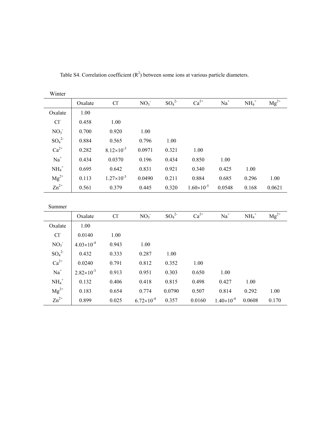| Winter           |                       |                     |                     |                      |                     |                     |                   |           |
|------------------|-----------------------|---------------------|---------------------|----------------------|---------------------|---------------------|-------------------|-----------|
|                  | Oxalate               | $Cl-$               | NO <sub>3</sub>     | $\mathrm{SO_4}^{2-}$ | $Ca^{2+}$           | $\mathrm{Na}^+$     | $\mathrm{NH_4}^+$ | $Mg^{2+}$ |
| Oxalate          | 1.00                  |                     |                     |                      |                     |                     |                   |           |
| $Cl-$            | 0.458                 | 1.00                |                     |                      |                     |                     |                   |           |
| NO <sub>3</sub>  | 0.700                 | 0.920               | 1.00                |                      |                     |                     |                   |           |
| $SO_4^2$         | 0.884                 | 0.565               | 0.796               | 1.00                 |                     |                     |                   |           |
| $Ca^{2+}$        | 0.282                 | $8.12\times10^{-3}$ | 0.0971              | 0.321                | 1.00                |                     |                   |           |
| $\mathrm{Na}^+$  | 0.434                 | 0.0370              | 0.196               | 0.434                | 0.850               | 1.00                |                   |           |
| $\text{NH}_4^+$  | 0.695                 | 0.642               | 0.831               | 0.921                | 0.340               | 0.425               | 1.00              |           |
| $Mg^{2+}$        | 0.113                 | $1.27\times10^{-3}$ | 0.0490              | 0.211                | 0.884               | 0.685               | 0.296             | 1.00      |
| $\text{Zn}^{2+}$ | 0.561                 | 0.379               | 0.445               | 0.320                | $1.60\times10^{-5}$ | 0.0548              | 0.168             | 0.0621    |
|                  |                       |                     |                     |                      |                     |                     |                   |           |
| Summer           |                       |                     |                     |                      |                     |                     |                   |           |
|                  | Oxalate               | Cl <sup>2</sup>     | NO <sub>3</sub>     | $SO_4^2$             | $Ca^{2+}$           | $\mathrm{Na}^+$     | $NH_4^+$          | $Mg^{2+}$ |
| Oxalate          | 1.00                  |                     |                     |                      |                     |                     |                   |           |
| CI               | 0.0140                | 1.00                |                     |                      |                     |                     |                   |           |
| NO <sub>3</sub>  | $4.03\times10^{-4}$   | 0.943               | 1.00                |                      |                     |                     |                   |           |
| $SO_4^2$         | 0.432                 | 0.333               | 0.287               | 1.00                 |                     |                     |                   |           |
| $Ca^{2+}$        | 0.0240                | 0.791               | 0.812               | 0.352                | 1.00                |                     |                   |           |
| $\mathrm{Na}^+$  | $2.82 \times 10^{-3}$ | 0.913               | 0.951               | 0.303                | 0.650               | 1.00                |                   |           |
| $\text{NH}_4^+$  | 0.132                 | 0.406               | 0.418               | 0.815                | 0.498               | 0.427               | 1.00              |           |
| $Mg^{2+}$        | 0.183                 | 0.654               | 0.774               | 0.0790               | 0.507               | 0.814               | 0.292             | 1.00      |
| $\text{Zn}^{2+}$ | 0.899                 | 0.025               | $6.72\times10^{-4}$ | 0.357                | 0.0160              | $1.40\times10^{-4}$ | 0.0608            | 0.170     |

Table S4. Correlation coefficient  $(R^2)$  between some ions at various particle diameters.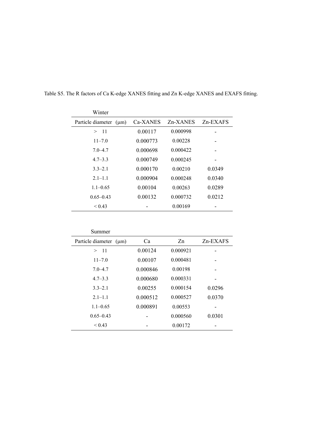| Winter                      |          |          |          |
|-----------------------------|----------|----------|----------|
| Particle diameter $(\mu m)$ | Ca-XANES | Zn-XANES | Zn-EXAFS |
| >11                         | 0.00117  | 0.000998 |          |
| $11 - 7.0$                  | 0.000773 | 0.00228  |          |
| $7.0 - 4.7$                 | 0.000698 | 0.000422 |          |
| $4.7 - 3.3$                 | 0.000749 | 0.000245 |          |
| $3.3 - 2.1$                 | 0.000170 | 0.00210  | 0.0349   |
| $2.1 - 1.1$                 | 0.000904 | 0.000248 | 0.0340   |
| $1.1 - 0.65$                | 0.00104  | 0.00263  | 0.0289   |
| $0.65 - 0.43$               | 0.00132  | 0.000732 | 0.0212   |
| ${}_{\leq 0.43}$            |          | 0.00169  |          |
|                             |          |          |          |

Table S5. The R factors of Ca K-edge XANES fitting and Zn K-edge XANES and EXAFS fitting.

| Summer                      |          |          |             |
|-----------------------------|----------|----------|-------------|
| Particle diameter $(\mu m)$ | Ca       | Zn       | $Zn$ -EXAFS |
| $-11$<br>>                  | 0.00124  | 0.000921 |             |
| $11 - 7.0$                  | 0.00107  | 0.000481 |             |
| $7.0 - 4.7$                 | 0.000846 | 0.00198  |             |
| $4.7 - 3.3$                 | 0.000680 | 0.000331 |             |
| $3.3 - 2.1$                 | 0.00255  | 0 000154 | 0.0296      |
| $2.1 - 1.1$                 | 0.000512 | 0.000527 | 0.0370      |
| $1.1 - 0.65$                | 0.000891 | 0.00553  |             |
| $0.65 - 0.43$               |          | 0.000560 | 0.0301      |
| ${}_{0.43}$                 |          | 0.00172  |             |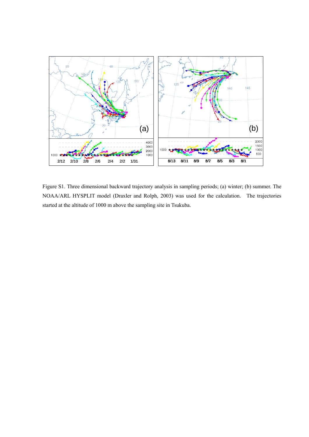

Figure S1. Three dimensional backward trajectory analysis in sampling periods; (a) winter; (b) summer. The NOAA/ARL HYSPLIT model (Draxler and Rolph, 2003) was used for the calculation. The trajectories started at the altitude of 1000 m above the sampling site in Tsukuba.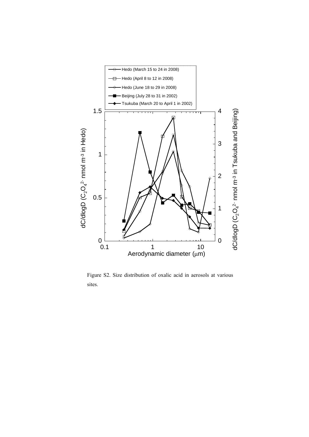

Figure S2. Size distribution of oxalic acid in aerosols at various sites.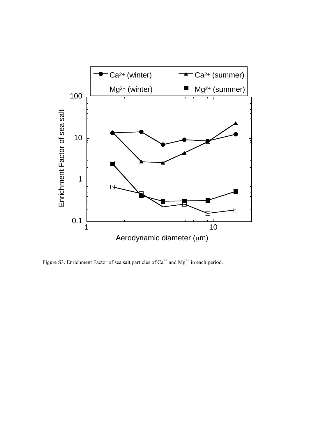

Figure S3. Enrichment Factor of sea salt particles of  $Ca^{2+}$  and  $Mg^{2+}$  in each period.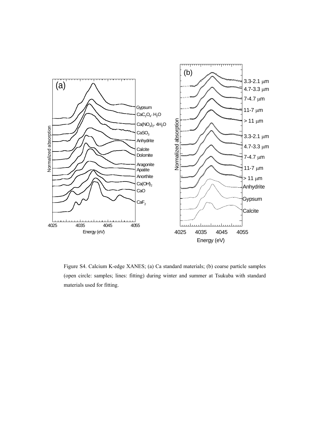

Figure S4. Calcium K-edge XANES; (a) Ca standard materials; (b) coarse particle samples (open circle: samples; lines: fitting) during winter and summer at Tsukuba with standard materials used for fitting.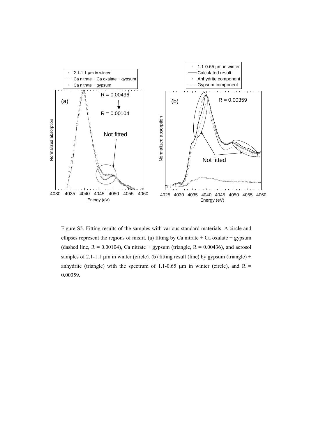

Figure S5. Fitting results of the samples with various standard materials. A circle and ellipses represent the regions of misfit. (a) fitting by Ca nitrate  $+$  Ca oxalate  $+$  gypsum (dashed line,  $R = 0.00104$ ), Ca nitrate + gypsum (triangle,  $R = 0.00436$ ), and aerosol samples of 2.1-1.1  $\mu$ m in winter (circle). (b) fitting result (line) by gypsum (triangle) + anhydrite (triangle) with the spectrum of 1.1-0.65  $\mu$ m in winter (circle), and R = 0.00359.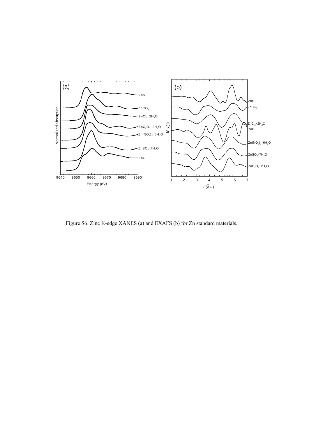

Figure S6. Zinc K-edge XANES (a) and EXAFS (b) for Zn standard materials.